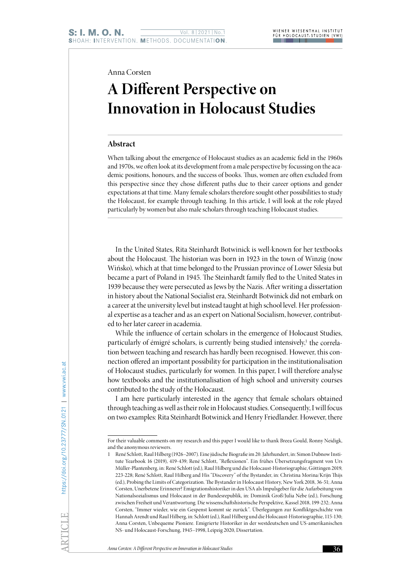Anna Corsten

# **A Different Perspective on Innovation in Holocaust Studies**

#### **Abstract**

When talking about the emergence of Holocaust studies as an academic field in the 1960s and 1970s, we often look at its development from a male perspective by focussing on the academic positions, honours, and the success of books. Thus, women are often excluded from this perspective since they chose different paths due to their career options and gender expectations at that time. Many female scholars therefore sought other possibilities to study the Holocaust, for example through teaching. In this article, I will look at the role played particularly by women but also male scholars through teaching Holocaust studies.

In the United States, Rita Steinhardt Botwinick is well-known for her textbooks about the Holocaust. The historian was born in 1923 in the town of Winzig (now Wińsko), which at that time belonged to the Prussian province of Lower Silesia but became a part of Poland in 1945. The Steinhardt family fled to the United States in 1939 because they were persecuted as Jews by the Nazis. After writing a dissertation in history about the National Socialist era, Steinhardt Botwinick did not embark on a career at the university level but instead taught at high school level. Her professional expertise as a teacher and as an expert on National Socialism, however, contributed to her later career in academia.

While the influence of certain scholars in the emergence of Holocaust Studies, particularly of émigré scholars, is currently being studied intensively,<sup>1</sup> the correlation between teaching and research has hardly been recognised. However, this connection offered an important possibility for participation in the institutionalisation of Holocaust studies, particularly for women. In this paper, I will therefore analyse how textbooks and the institutionalisation of high school and university courses contributed to the study of the Holocaust.

I am here particularly interested in the agency that female scholars obtained through teaching as well as their role in Holocaust studies. Consequently, I will focus on two examples: Rita Steinhardt Botwinick and Henry Friedlander. However, there

For their valuable comments on my research and this paper I would like to thank Breea Gould, Ronny Neidigk, and the anonymous reviewers.

<sup>1</sup> René Schlott, Raul Hilberg (1926–2007). Eine jüdische Biografie im 20. Jahrhundert, in: Simon Dubnow Institute Yearbook 16 (2019), 419-439; René Schlott, "Reflexionen". Ein frühes Übersetzungsfragment von Urs Müller-Plantenberg, in: René Schlott (ed.), Raul Hilberg und die Holocaust-Historiographie, Göttingen 2019, 223-228; René Schlott, Raul Hilberg and His "Discovery" of the Bystander, in: Christina Morina/Krijn Thijs (ed.), Probing the Limits of Categorization. The Bystander in Holocaust History, New York 2018, 36-51; Anna Corsten, Unerbetene Erinnerer? Emigrationshistoriker in den USA als Impulsgeber für die Aufarbeitung von Nationalsozialismus und Holocaust in der Bundesrepublik, in: Dominik Groß/Julia Nebe (ed.), Forschung zwischen Freiheit und Verantwortung. Die wissenschaftshistorische Perspektive, Kassel 2018, 199-232; Anna Corsten, "Immer wieder, wie ein Gespenst kommt sie zurück". Überlegungen zur Konfliktgeschichte von Hannah Arendt und Raul Hilberg, in: Schlott (ed.), Raul Hilberg und die Holocaust-Historiographie, 115-130; Anna Corsten, Unbequeme Pioniere. Emigrierte Historiker in der westdeutschen und US-amerikanischen NS- und Holocaust-Forschung, 1945–1998, Leipzig 2020, Dissertation.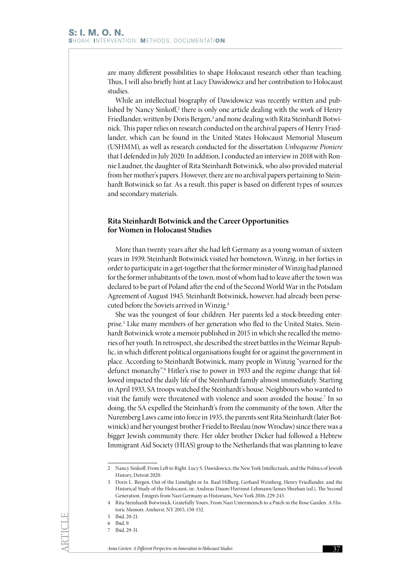are many different possibilities to shape Holocaust research other than teaching. Thus, I will also briefly hint at Lucy Dawidowicz and her contribution to Holocaust studies.

While an intellectual biography of Dawidowicz was recently written and published by Nancy Sinkoff,<sup>2</sup> there is only one article dealing with the work of Henry Friedlander, written by Doris Bergen,<sup>3</sup> and none dealing with Rita Steinhardt Botwinick. This paper relies on research conducted on the archival papers of Henry Friedlander, which can be found in the United States Holocaust Memorial Museum (USHMM), as well as research conducted for the dissertation *Unbequeme Pioniere* that I defended in July 2020. In addition, I conducted an interview in 2018 with Ronnie Laudner, the daughter of Rita Steinhardt Botwinick, who also provided material from her mother's papers. However, there are no archival papers pertaining to Steinhardt Botwinick so far. As a result, this paper is based on different types of sources and secondary materials.

### **Rita Steinhardt Botwinick and the Career Opportunities for Women in Holocaust Studies**

More than twenty years after she had left Germany as a young woman of sixteen years in 1939, Steinhardt Botwinick visited her hometown, Winzig, in her forties in order to participate in a get-together that the former minister of Winzig had planned for the former inhabitants of the town, most of whom had to leave after the town was declared to be part of Poland after the end of the Second World War in the Potsdam Agreement of August 1945. Steinhardt Botwinick, however, had already been persecuted before the Soviets arrived in Winzig.4

She was the youngest of four children. Her parents led a stock-breeding enterprise.5 Like many members of her generation who fled to the United States, Steinhardt Botwinick wrote a memoir published in 2015 in which she recalled the memories of her youth. In retrospect, she described the street battles in the Weimar Republic, in which different political organisations fought for or against the government in place. According to Steinhardt Botwinick, many people in Winzig "yearned for the defunct monarchy".6 Hitler's rise to power in 1933 and the regime change that followed impacted the daily life of the Steinhardt family almost immediately. Starting in April 1933, SA troops watched the Steinhardt's house. Neighbours who wanted to visit the family were threatened with violence and soon avoided the house.7 In so doing, the SA expelled the Steinhardt's from the community of the town. After the Nuremberg Laws came into force in 1935, the parents sent Rita Steinhardt (later Botwinick) and her youngest brother Friedel to Breslau (now Wrocław) since there was a bigger Jewish community there. Her older brother Dicker had followed a Hebrew Immigrant Aid Society (HIAS) group to the Netherlands that was planning to leave

<sup>2</sup> Nancy Sinkoff, From Left to Right. Lucy S. Dawidowicz, the New York Intellectuals, and the Politics of Jewish History, Detroit 2020.

<sup>3</sup> Doris L. Bergen, Out of the Limelight or In. Raul Hilberg, Gerhard Weinberg, Henry Friedlander, and the Historical Study of the Holocaust, in: Andreas Daum/Hartmut Lehmann/James Sheehan (ed.), The Second Generation. Émigrés from Nazi Germany as Historians, New York 2016, 229-243.

<sup>4</sup> Rita Steinhardt Botwinick, Gratefully Yours, From Nazi Untermensch to a Patch in the Rose Garden. A Historic Memoir, Amherst, NY 2015, 150-152.

<sup>5</sup> Ibid, 20-21.

<sup>6</sup> Ibid, 9.

<sup>7</sup> Ibid, 29-31.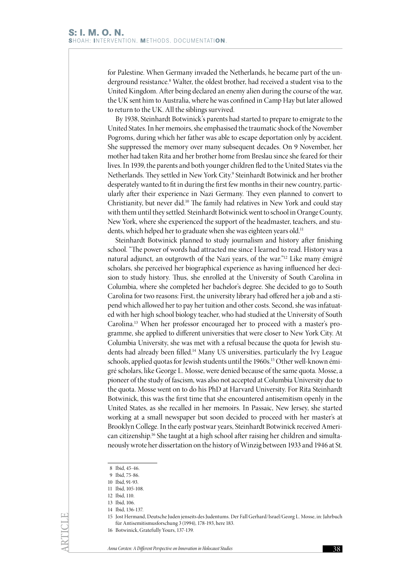for Palestine. When Germany invaded the Netherlands, he became part of the underground resistance.<sup>8</sup> Walter, the oldest brother, had received a student visa to the United Kingdom. After being declared an enemy alien during the course of the war, the UK sent him to Australia, where he was confined in Camp Hay but later allowed to return to the UK. All the siblings survived.

By 1938, Steinhardt Botwinick's parents had started to prepare to emigrate to the United States. In her memoirs, she emphasised the traumatic shock of the November Pogroms, during which her father was able to escape deportation only by accident. She suppressed the memory over many subsequent decades. On 9 November, her mother had taken Rita and her brother home from Breslau since she feared for their lives. In 1939, the parents and both younger children fled to the United States via the Netherlands. They settled in New York City.<sup>9</sup> Steinhardt Botwinick and her brother desperately wanted to fit in during the first few months in their new country, particularly after their experience in Nazi Germany. They even planned to convert to Christianity, but never did.10 The family had relatives in New York and could stay with them until they settled. Steinhardt Botwinick went to school in Orange County, New York, where she experienced the support of the headmaster, teachers, and students, which helped her to graduate when she was eighteen years old.<sup>11</sup>

Steinhardt Botwinick planned to study journalism and history after finishing school. "The power of words had attracted me since I learned to read. History was a natural adjunct, an outgrowth of the Nazi years, of the war."12 Like many émigré scholars, she perceived her biographical experience as having influenced her decision to study history. Thus, she enrolled at the University of South Carolina in Columbia, where she completed her bachelor's degree. She decided to go to South Carolina for two reasons: First, the university library had offered her a job and a stipend which allowed her to pay her tuition and other costs. Second, she was infatuated with her high school biology teacher, who had studied at the University of South Carolina.13 When her professor encouraged her to proceed with a master's programme, she applied to different universities that were closer to New York City. At Columbia University, she was met with a refusal because the quota for Jewish students had already been filled.14 Many US universities, particularly the Ivy League schools, applied quotas for Jewish students until the 1960s.<sup>15</sup> Other well-known émigré scholars, like George L. Mosse, were denied because of the same quota. Mosse, a pioneer of the study of fascism, was also not accepted at Columbia University due to the quota. Mosse went on to do his PhD at Harvard University. For Rita Steinhardt Botwinick, this was the first time that she encountered antisemitism openly in the United States, as she recalled in her memoirs. In Passaic, New Jersey, she started working at a small newspaper but soon decided to proceed with her master's at Brooklyn College. In the early postwar years, Steinhardt Botwinick received American citizenship.16 She taught at a high school after raising her children and simultaneously wrote her dissertation on the history of Winzig between 1933 and 1946 at St.

8 Ibid, 45-46.

ARTICLE

15 Jost Hermand, Deutsche Juden jenseits des Judentums. Der Fall Gerhard/Israel/Georg L. Mosse, in: Jahrbuch für Antisemitismusforschung 3 (1994), 178-193, here 183.

<sup>9</sup> Ibid, 75-86.

<sup>10</sup> Ibid, 91-93.

<sup>11</sup> Ibid, 105-108.

<sup>12</sup> Ibid, 110.

<sup>13</sup> Ibid, 106.

<sup>14</sup> Ibid, 136-137.

<sup>16</sup> Botwinick, Gratefully Yours, 137-139.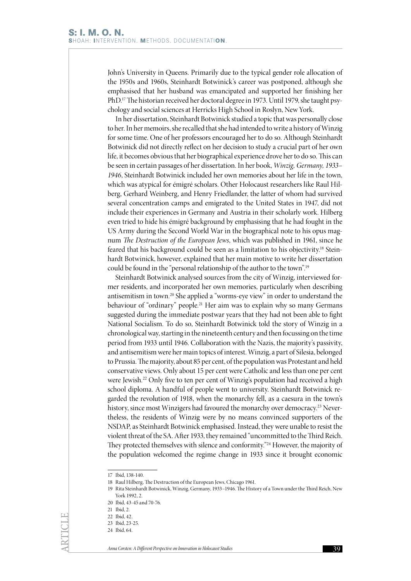John's University in Queens. Primarily due to the typical gender role allocation of the 1950s and 1960s, Steinhardt Botwinick's career was postponed, although she emphasised that her husband was emancipated and supported her finishing her PhD.17 The historian received her doctoral degree in 1973. Until 1979, she taught psychology and social sciences at Herricks High School in Roslyn, New York.

In her dissertation, Steinhardt Botwinick studied a topic that was personally close to her. In her memoirs, she recalled that she had intended to write a history of Winzig for some time. One of her professors encouraged her to do so. Although Steinhardt Botwinick did not directly reflect on her decision to study a crucial part of her own life, it becomes obvious that her biographical experience drove her to do so. This can be seen in certain passages of her dissertation. In her book, *Winzig, Germany, 1933– 1946*, Steinhardt Botwinick included her own memories about her life in the town, which was atypical for émigré scholars. Other Holocaust researchers like Raul Hilberg, Gerhard Weinberg, and Henry Friedlander, the latter of whom had survived several concentration camps and emigrated to the United States in 1947, did not include their experiences in Germany and Austria in their scholarly work. Hilberg even tried to hide his émigré background by emphasising that he had fought in the US Army during the Second World War in the biographical note to his opus magnum *The Destruction of the European Jews*, which was published in 1961, since he feared that his background could be seen as a limitation to his objectivity.18 Steinhardt Botwinick, however, explained that her main motive to write her dissertation could be found in the "personal relationship of the author to the town".19

Steinhardt Botwinick analysed sources from the city of Winzig, interviewed former residents, and incorporated her own memories, particularly when describing antisemitism in town.20 She applied a "worms-eye view" in order to understand the behaviour of "ordinary" people.<sup>21</sup> Her aim was to explain why so many Germans suggested during the immediate postwar years that they had not been able to fight National Socialism. To do so, Steinhardt Botwinick told the story of Winzig in a chronological way, starting in the nineteenth century and then focussing on the time period from 1933 until 1946. Collaboration with the Nazis, the majority's passivity, and antisemitism were her main topics of interest. Winzig, a part of Silesia, belonged to Prussia. The majority, about 85 per cent, of the population was Protestant and held conservative views. Only about 15 per cent were Catholic and less than one per cent were Jewish.22 Only five to ten per cent of Winzig's population had received a high school diploma. A handful of people went to university. Steinhardt Botwinick regarded the revolution of 1918, when the monarchy fell, as a caesura in the town's history, since most Winzigers had favoured the monarchy over democracy.<sup>23</sup> Nevertheless, the residents of Winzig were by no means convinced supporters of the NSDAP, as Steinhardt Botwinick emphasised. Instead, they were unable to resist the violent threat of the SA. After 1933, they remained "uncommitted to the Third Reich. They protected themselves with silence and conformity."<sup>24</sup> However, the majority of the population welcomed the regime change in 1933 since it brought economic

<sup>17</sup> Ibid, 138-140.

<sup>18</sup> Raul Hilberg, The Destruction of the European Jews, Chicago 1961.

<sup>19</sup> Rita Steinhardt Botwinick, Winzig, Germany, 1933–1946. The History of a Town under the Third Reich, New York 1992, 2.

<sup>20</sup> Ibid, 43-45 and 70-76.

<sup>21</sup> Ibid, 2.

<sup>22</sup> Ibid, 42.

<sup>23</sup> Ibid, 23-25.

<sup>24</sup> Ibid, 64.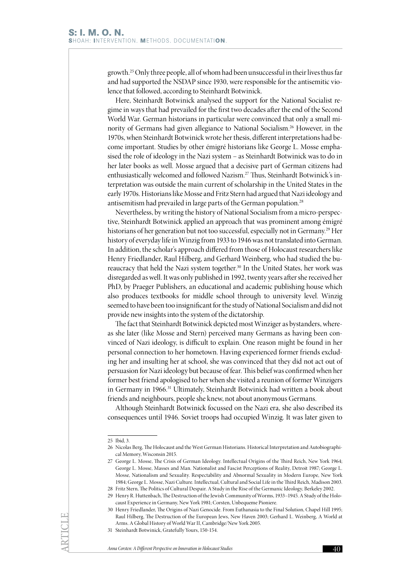growth.25 Only three people, all of whom had been unsuccessful in their lives thus far and had supported the NSDAP since 1930, were responsible for the antisemitic violence that followed, according to Steinhardt Botwinick.

Here, Steinhardt Botwinick analysed the support for the National Socialist regime in ways that had prevailed for the first two decades after the end of the Second World War. German historians in particular were convinced that only a small minority of Germans had given allegiance to National Socialism.26 However, in the 1970s, when Steinhardt Botwinick wrote her thesis, different interpretations had become important. Studies by other émigré historians like George L. Mosse emphasised the role of ideology in the Nazi system – as Steinhardt Botwinick was to do in her later books as well. Mosse argued that a decisive part of German citizens had enthusiastically welcomed and followed Nazism.27 Thus, Steinhardt Botwinick's interpretation was outside the main current of scholarship in the United States in the early 1970s. Historians like Mosse and Fritz Stern had argued that Nazi ideology and antisemitism had prevailed in large parts of the German population.<sup>28</sup>

Nevertheless, by writing the history of National Socialism from a micro-perspective, Steinhardt Botwinick applied an approach that was prominent among émigré historians of her generation but not too successful, especially not in Germany.29 Her history of everyday life in Winzig from 1933 to 1946 was not translated into German. In addition, the scholar's approach differed from those of Holocaust researchers like Henry Friedlander, Raul Hilberg, and Gerhard Weinberg, who had studied the bureaucracy that held the Nazi system together.30 In the United States, her work was disregarded as well. It was only published in 1992, twenty years after she received her PhD, by Praeger Publishers, an educational and academic publishing house which also produces textbooks for middle school through to university level. Winzig seemed to have been too insignificant for the study of National Socialism and did not provide new insights into the system of the dictatorship.

The fact that Steinhardt Botwinick depicted most Winziger as bystanders, whereas she later (like Mosse and Stern) perceived many Germans as having been convinced of Nazi ideology, is difficult to explain. One reason might be found in her personal connection to her hometown. Having experienced former friends excluding her and insulting her at school, she was convinced that they did not act out of persuasion for Nazi ideology but because of fear. This belief was confirmed when her former best friend apologised to her when she visited a reunion of former Winzigers in Germany in 1966.31 Ultimately, Steinhardt Botwinick had written a book about friends and neighbours, people she knew, not about anonymous Germans.

Although Steinhardt Botwinick focussed on the Nazi era, she also described its consequences until 1946. Soviet troops had occupied Winzig. It was later given to

<sup>25</sup> Ibid, 3.

<sup>26</sup> Nicolas Berg, The Holocaust and the West German Historians. Historical Interpretation and Autobiographical Memory, Wisconsin 2015.

<sup>27</sup> George L. Mosse, The Crisis of German Ideology. Intellectual Origins of the Third Reich, New York 1964; George L. Mosse, Masses and Man. Nationalist and Fascist Perceptions of Reality, Detroit 1987; George L. Mosse, Nationalism and Sexuality. Respectability and Abnormal Sexuality in Modern Europe, New York 1984; George L. Mosse, Nazi Culture. Intellectual, Cultural and Social Life in the Third Reich, Madison 2003.

<sup>28</sup> Fritz Stern, The Politics of Cultural Despair. A Study in the Rise of the Germanic Ideology, Berkeley 2002.

<sup>29</sup> Henry R. Huttenbach, The Destruction of the Jewish Community of Worms, 1933–1945. A Study of the Holocaust Experience in Germany, New York 1981; Corsten, Unbequeme Pioniere.

<sup>30</sup> Henry Friedlander, The Origins of Nazi Genocide. From Euthanasia to the Final Solution, Chapel Hill 1995; Raul Hilberg, The Destruction of the European Jews, New Haven 2003; Gerhard L. Weinberg, A World at Arms. A Global History of World War II, Cambridge/New York 2005.

<sup>31</sup> Steinhardt Botwinick, Gratefully Yours, 150-154.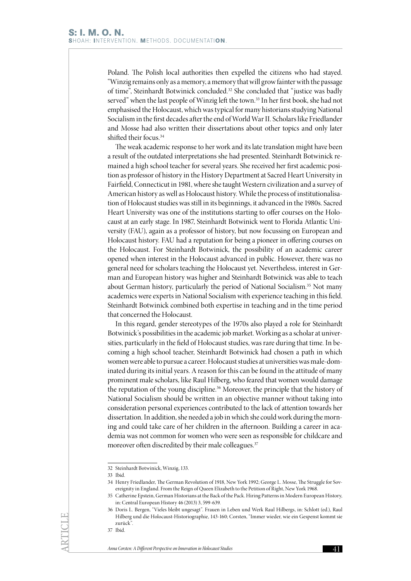Poland. The Polish local authorities then expelled the citizens who had stayed. "Winzig remains only as a memory, a memory that will grow fainter with the passage of time", Steinhardt Botwinick concluded.32 She concluded that "justice was badly served" when the last people of Winzig left the town.<sup>33</sup> In her first book, she had not emphasised the Holocaust, which was typical for many historians studying National Socialism in the first decades after the end of World War II. Scholars like Friedlander and Mosse had also written their dissertations about other topics and only later shifted their focus.<sup>34</sup>

The weak academic response to her work and its late translation might have been a result of the outdated interpretations she had presented. Steinhardt Botwinick remained a high school teacher for several years. She received her first academic position as professor of history in the History Department at Sacred Heart University in Fairfield, Connecticut in 1981, where she taught Western civilization and a survey of American history as well as Holocaust history. While the process of institutionalisation of Holocaust studies was still in its beginnings, it advanced in the 1980s. Sacred Heart University was one of the institutions starting to offer courses on the Holocaust at an early stage. In 1987, Steinhardt Botwinick went to Florida Atlantic University (FAU), again as a professor of history, but now focussing on European and Holocaust history. FAU had a reputation for being a pioneer in offering courses on the Holocaust. For Steinhardt Botwinick, the possibility of an academic career opened when interest in the Holocaust advanced in public. However, there was no general need for scholars teaching the Holocaust yet. Nevertheless, interest in German and European history was higher and Steinhardt Botwinick was able to teach about German history, particularly the period of National Socialism.35 Not many academics were experts in National Socialism with experience teaching in this field. Steinhardt Botwinick combined both expertise in teaching and in the time period that concerned the Holocaust.

In this regard, gender stereotypes of the 1970s also played a role for Steinhardt Botwinick's possibilities in the academic job market. Working as a scholar at universities, particularly in the field of Holocaust studies, was rare during that time. In becoming a high school teacher, Steinhardt Botwinick had chosen a path in which women were able to pursue a career. Holocaust studies at universities was male-dominated during its initial years. A reason for this can be found in the attitude of many prominent male scholars, like Raul Hilberg, who feared that women would damage the reputation of the young discipline.36 Moreover, the principle that the history of National Socialism should be written in an objective manner without taking into consideration personal experiences contributed to the lack of attention towards her dissertation. In addition, she needed a job in which she could work during the morning and could take care of her children in the afternoon. Building a career in academia was not common for women who were seen as responsible for childcare and moreover often discredited by their male colleagues.<sup>37</sup>

<sup>32</sup> Steinhardt Botwinick, Winzig, 133.

<sup>33</sup> Ibid.

<sup>34</sup> Henry Friedlander, The German Revolution of 1918, New York 1992; George L. Mosse, The Struggle for Sovereignity in England. From the Reign of Queen Elizabeth to the Petition of Right, New York 1968.

<sup>35</sup> Catherine Epstein, German Historians at the Back of the Pack. Hiring Patterns in Modern European History, in: Central European History 46 (2013) 3, 599-639.

<sup>36</sup> Doris L. Bergen, "Vieles bleibt ungesagt". Frauen in Leben und Werk Raul Hilbergs, in: Schlott (ed.), Raul Hilberg und die Holocaust-Historiographie, 143-160; Corsten, "Immer wieder, wie ein Gespenst kommt sie zurück".

<sup>37</sup> Ibid.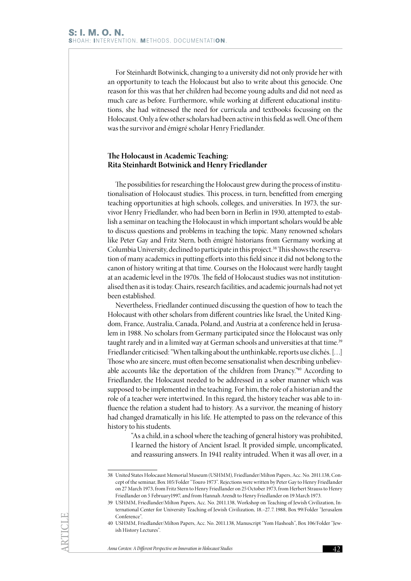For Steinhardt Botwinick, changing to a university did not only provide her with an opportunity to teach the Holocaust but also to write about this genocide. One reason for this was that her children had become young adults and did not need as much care as before. Furthermore, while working at different educational institutions, she had witnessed the need for curricula and textbooks focussing on the Holocaust. Only a few other scholars had been active in this field as well. One of them was the survivor and émigré scholar Henry Friedlander.

## **The Holocaust in Academic Teaching: Rita Steinhardt Botwinick and Henry Friedlander**

The possibilities for researching the Holocaust grew during the process of institutionalisation of Holocaust studies. This process, in turn, benefitted from emerging teaching opportunities at high schools, colleges, and universities. In 1973, the survivor Henry Friedlander, who had been born in Berlin in 1930, attempted to establish a seminar on teaching the Holocaust in which important scholars would be able to discuss questions and problems in teaching the topic. Many renowned scholars like Peter Gay and Fritz Stern, both émigré historians from Germany working at Columbia University, declined to participate in this project.<sup>38</sup> This shows the reservation of many academics in putting efforts into this field since it did not belong to the canon of history writing at that time. Courses on the Holocaust were hardly taught at an academic level in the 1970s. The field of Holocaust studies was not institutionalised then as it is today. Chairs, research facilities, and academic journals had not yet been established.

Nevertheless, Friedlander continued discussing the question of how to teach the Holocaust with other scholars from different countries like Israel, the United Kingdom, France, Australia, Canada, Poland, and Austria at a conference held in Jerusalem in 1988. No scholars from Germany participated since the Holocaust was only taught rarely and in a limited way at German schools and universities at that time.<sup>39</sup> Friedlander criticised: "When talking about the unthinkable, reports use clichés. […] Those who are sincere, must often become sensationalist when describing unbelievable accounts like the deportation of the children from Drancy."40 According to Friedlander, the Holocaust needed to be addressed in a sober manner which was supposed to be implemented in the teaching. For him, the role of a historian and the role of a teacher were intertwined. In this regard, the history teacher was able to influence the relation a student had to history. As a survivor, the meaning of history had changed dramatically in his life. He attempted to pass on the relevance of this history to his students.

"As a child, in a school where the teaching of general history was prohibited, I learned the history of Ancient Israel. It provided simple, uncomplicated, and reassuring answers. In 1941 reality intruded. When it was all over, in a

<sup>38</sup> United States Holocaust Memorial Museum (USHMM), Friedlander/Milton Papers, Acc. No. 2011.138, Concept of the seminar, Box 105/Folder "Touro 1973". Rejections were written by Peter Gay to Henry Friedlander on 27 March 1973, from Fritz Stern to Henry Friedlander on 25 October 1973, from Herbert Strauss to Henry Friedlander on 5 February1997, and from Hannah Arendt to Henry Friedlander on 19 March 1973.

<sup>39</sup> USHMM, Friedlander/Milton Papers, Acc. No. 2011.138, Workshop on Teaching of Jewish Civilization, International Center for University Teaching of Jewish Civilization, 18.–27. 7. 1988, Box 99/Folder "Jerusalem Conference".

<sup>40</sup> USHMM, Friedlander/Milton Papers, Acc. No. 2011.138, Manuscript "Yom Hashoah", Box 106/Folder "Jewish History Lectures".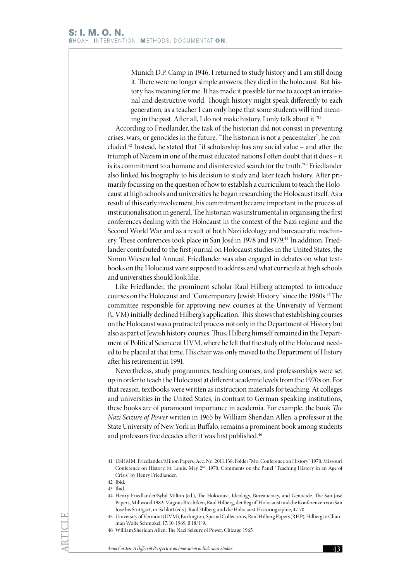Munich D.P. Camp in 1946, I returned to study history and I am still doing it. There were no longer simple answers; they died in the holocaust. But history has meaning for me. It has made it possible for me to accept an irrational and destructive world. Though history might speak differently to each generation, as a teacher I can only hope that some students will find meaning in the past. After all, I do not make history. I only talk about it."41

According to Friedlander, the task of the historian did not consist in preventing crises, wars, or genocides in the future. "The historian is not a peacemaker", he concluded.42 Instead, he stated that "if scholarship has any social value – and after the triumph of Nazism in one of the most educated nations I often doubt that it does – it is its commitment to a humane and disinterested search for the truth."43 Friedlander also linked his biography to his decision to study and later teach history. After primarily focussing on the question of how to establish a curriculum to teach the Holocaust at high schools and universities he began researching the Holocaust itself. As a result of this early involvement, his commitment became important in the process of institutionalisation in general. The historian was instrumental in organising the first conferences dealing with the Holocaust in the context of the Nazi regime and the Second World War and as a result of both Nazi ideology and bureaucratic machinery. These conferences took place in San José in 1978 and 1979.<sup>44</sup> In addition, Friedlander contributed to the first journal on Holocaust studies in the United States, the Simon Wiesenthal Annual. Friedlander was also engaged in debates on what textbooks on the Holocaust were supposed to address and what curricula at high schools and universities should look like.

Like Friedlander, the prominent scholar Raul Hilberg attempted to introduce courses on the Holocaust and "Contemporary Jewish History" since the 1960s.<sup>45</sup> The committee responsible for approving new courses at the University of Vermont (UVM) initially declined Hilberg's application. This shows that establishing courses on the Holocaust was a protracted process not only in the Department of History but also as part of Jewish history courses. Thus, Hilberg himself remained in the Department of Political Science at UVM, where he felt that the study of the Holocaust needed to be placed at that time. His chair was only moved to the Department of History after his retirement in 1991.

Nevertheless, study programmes, teaching courses, and professorships were set up in order to teach the Holocaust at different academic levels from the 1970s on. For that reason, textbooks were written as instruction materials for teaching. At colleges and universities in the United States, in contrast to German-speaking institutions, these books are of paramount importance in academia. For example, the book *The Nazi Seizure of Power* written in 1965 by William Sheridan Allen, a professor at the State University of New York in Buffalo, remains a prominent book among students and professors five decades after it was first published.<sup>46</sup>

<sup>41</sup> USHMM, Friedlander/Milton Papers, Acc. No. 2011.138, Folder "Mo. Conference on History" 1970, Missouri Conference on History, St. Louis, May 2nd, 1970, Comments on the Panel "Teaching History in an Age of Crisis" by Henry Friedlander.

<sup>42</sup> Ibid.

<sup>43</sup> Ibid.

<sup>44</sup> Henry Friedlander/Sybil Milton (ed.), The Holocaust. Ideology, Bureaucracy, and Genocide. The San José Papers, Millwood 1982; Magnus Brechtken, Raul Hilberg, der Begriff Holocaust und die Konferenzen von San José bis Stuttgart, in: Schlott (eds.), Raul Hilberg und die Holocaust-Historiographie, 47-70.

<sup>45</sup> University of Vermont (UVM), Burlington, Special Collections, Raul Hilberg Papers (RHP), Hilberg to Chairman Wolfe Schmokel, 17. 10. 1969, B 18/ F 9.

<sup>46</sup> William Sheridan Allen, The Nazi Seizure of Power, Chicago 1965.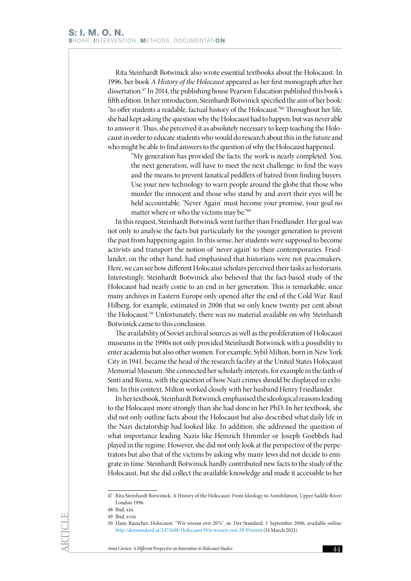Rita Steinhardt Botwinick also wrote essential textbooks about the Holocaust. In 1996, her book *A History of the Holocaust* appeared as her first monograph after her dissertation.47 In 2014, the publishing house Pearson Education published this book's fifth edition. In her introduction, Steinhardt Botwinick specified the aim of her book: "to offer students a readable, factual history of the Holocaust."48 Throughout her life, she had kept asking the question why the Holocaust had to happen, but was never able to answer it. Thus, she perceived it as absolutely necessary to keep teaching the Holocaust in order to educate students who would do research about this in the future and who might be able to find answers to the question of why the Holocaust happened.

> "My generation has provided the facts; the work is nearly completed. You, the next generation, will have to meet the next challenge: to find the ways and the means to prevent fanatical peddlers of hatred from finding buyers. Use your new technology to warn people around the globe that those who murder the innocent and those who stand by and avert their eyes will be held accountable. 'Never Again' must become your promise, your goal no matter where or who the victims may be."49

In this request, Steinhardt Botwinick went further than Friedlander. Her goal was not only to analyse the facts but particularly for the younger generation to prevent the past from happening again. In this sense, her students were supposed to become activists and transport the notion of 'never again' to their contemporaries. Friedlander, on the other hand, had emphasised that historians were not peacemakers. Here, we can see how different Holocaust scholars perceived their tasks as historians. Interestingly, Steinhardt Botwinick also believed that the fact-based study of the Holocaust had nearly come to an end in her generation. This is remarkable, since many archives in Eastern Europe only opened after the end of the Cold War. Raul Hilberg, for example, estimated in 2006 that we only knew twenty per cent about the Holocaust.<sup>50</sup> Unfortunately, there was no material available on why Steinhardt Botwinick came to this conclusion.

The availability of Soviet archival sources as well as the proliferation of Holocaust museums in the 1990s not only provided Steinhardt Botwinick with a possibility to enter academia but also other women. For example, Sybil Milton, born in New York City in 1941, became the head of the research facility at the United States Holocaust Memorial Museum. She connected her scholarly interests, for example in the faith of Sinti and Roma, with the question of how Nazi crimes should be displayed in exhibits. In this context, Milton worked closely with her husband Henry Friedlander.

In her textbook, Steinhardt Botwinick emphasised the ideological reasons leading to the Holocaust more strongly than she had done in her PhD. In her textbook, she did not only outline facts about the Holocaust but also described what daily life in the Nazi dictatorship had looked like. In addition, she addressed the question of what importance leading Nazis like Heinrich Himmler or Joseph Goebbels had played in the regime. However, she did not only look at the perspective of the perpetrators but also that of the victims by asking why many Jews did not decide to emigrate in time. Steinhardt Botwinick hardly contributed new facts to the study of the Holocaust, but she did collect the available knowledge and made it accessible to her

<sup>47</sup> Rita Steinhardt Botwinick, A History of the Holocaust. From Ideology to Annihilation, Upper Saddle River/ London 1996.

<sup>48</sup> Ibid, xiii.

<sup>49</sup> Ibid, xviii.

<sup>50</sup> Hans Rauscher, Holocaust: "Wir wissen erst 20%", in: Der Standard, 1 September 2006, available online: <http://derstandard.at/2475608/Holocaust-Wir-wissen-erst-20-Prozent> (14 March 2021).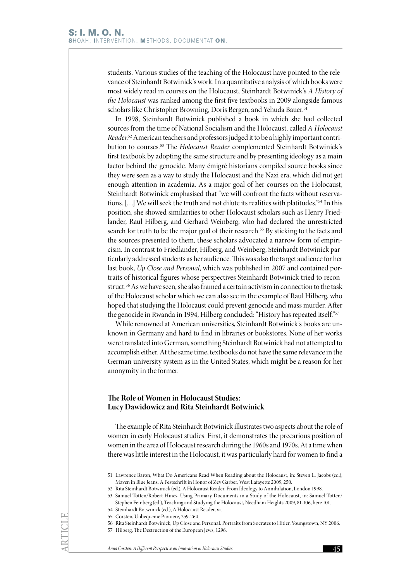students. Various studies of the teaching of the Holocaust have pointed to the relevance of Steinhardt Botwinick's work. In a quantitative analysis of which books were most widely read in courses on the Holocaust, Steinhardt Botwinick's *A History of the Holocaust* was ranked among the first five textbooks in 2009 alongside famous scholars like Christopher Browning, Doris Bergen, and Yehuda Bauer.<sup>51</sup>

In 1998, Steinhardt Botwinick published a book in which she had collected sources from the time of National Socialism and the Holocaust, called *A Holocaust Reader*. 52 American teachers and professors judged it to be a highly important contribution to courses.53 The *Holocaust Reader* complemented Steinhardt Botwinick's first textbook by adopting the same structure and by presenting ideology as a main factor behind the genocide. Many émigré historians compiled source books since they were seen as a way to study the Holocaust and the Nazi era, which did not get enough attention in academia. As a major goal of her courses on the Holocaust, Steinhardt Botwinick emphasised that "we will confront the facts without reservations. […] We will seek the truth and not dilute its realities with platitudes."54 In this position, she showed similarities to other Holocaust scholars such as Henry Friedlander, Raul Hilberg, and Gerhard Weinberg, who had declared the unrestricted search for truth to be the major goal of their research.<sup>55</sup> By sticking to the facts and the sources presented to them, these scholars advocated a narrow form of empiricism. In contrast to Friedlander, Hilberg, and Weinberg, Steinhardt Botwinick particularly addressed students as her audience. This was also the target audience for her last book, *Up Close and Personal*, which was published in 2007 and contained portraits of historical figures whose perspectives Steinhardt Botwinick tried to reconstruct.<sup>56</sup> As we have seen, she also framed a certain activism in connection to the task of the Holocaust scholar which we can also see in the example of Raul Hilberg, who hoped that studying the Holocaust could prevent genocide and mass murder. After the genocide in Rwanda in 1994, Hilberg concluded: "History has repeated itself."<sup>57</sup>

While renowned at American universities, Steinhardt Botwinick's books are unknown in Germany and hard to find in libraries or bookstores. None of her works were translated into German, something Steinhardt Botwinick had not attempted to accomplish either. At the same time, textbooks do not have the same relevance in the German university system as in the United States, which might be a reason for her anonymity in the former.

# **The Role of Women in Holocaust Studies: Lucy Dawidowicz and Rita Steinhardt Botwinick**

The example of Rita Steinhardt Botwinick illustrates two aspects about the role of women in early Holocaust studies. First, it demonstrates the precarious position of women in the area of Holocaust research during the 1960s and 1970s. At a time when there was little interest in the Holocaust, it was particularly hard for women to find a

<sup>51</sup> Lawrence Baron, What Do Americans Read When Reading about the Holocaust, in: Steven L. Jacobs (ed.), Maven in Blue Jeans. A Festschrift in Honor of Zev Garber, West Lafayette 2009, 250.

<sup>52</sup> Rita Steinhardt Botwinick (ed.), A Holocaust Reader. From Ideology to Annihilation, London 1998.

<sup>53</sup> Samuel Totten/Robert Hines, Using Primary Documents in a Study of the Holocaust, in: Samuel Totten/ Stephen Feinberg (ed.), Teaching and Studying the Holocaust, Needham Heights 2009, 81-106, here 101.

<sup>54</sup> Steinhardt Botwinick (ed.), A Holocaust Reader, xi.

<sup>55</sup> Corsten, Unbequeme Pioniere, 259-264.

<sup>56</sup> Rita Steinhardt Botwinick, Up Close and Personal. Portraits from Socrates to Hitler, Youngstown, NY 2006.

<sup>57</sup> Hilberg, The Destruction of the European Jews, 1296.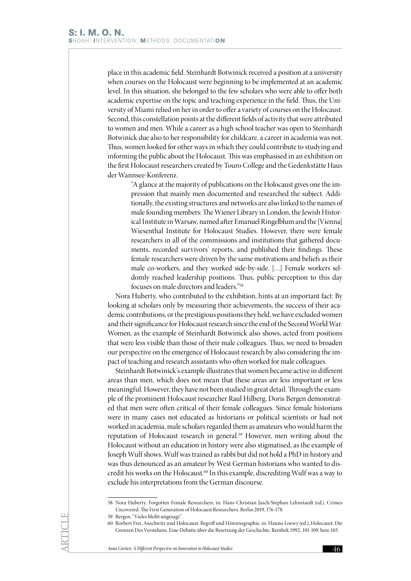place in this academic field. Steinhardt Botwinick received a position at a university when courses on the Holocaust were beginning to be implemented at an academic level. In this situation, she belonged to the few scholars who were able to offer both academic expertise on the topic and teaching experience in the field. Thus, the University of Miami relied on her in order to offer a variety of courses on the Holocaust. Second, this constellation points at the different fields of activity that were attributed to women and men. While a career as a high school teacher was open to Steinhardt Botwinick due also to her responsibility for childcare, a career in academia was not. Thus, women looked for other ways in which they could contribute to studying and informing the public about the Holocaust. This was emphasised in an exhibition on the first Holocaust researchers created by Touro College and the Gedenkstätte Haus der Wannsee-Konferenz.

> "A glance at the majority of publications on the Holocaust gives one the impression that mainly men documented and researched the subject. Additionally, the existing structures and networks are also linked to the names of male founding members: The Wiener Library in London, the Jewish Historical Institute in Warsaw, named after Emanuel Ringelblum and the [Vienna] Wiesenthal Institute for Holocaust Studies. However, there were female researchers in all of the commissions and institutions that gathered documents, recorded survivors' reports, and published their findings. These female researchers were driven by the same motivations and beliefs as their male co-workers, and they worked side-by-side. […] Female workers seldomly reached leadership positions. Thus, public perception to this day focuses on male directors and leaders."58

Nora Huberty, who contributed to the exhibition, hints at an important fact: By looking at scholars only by measuring their achievements, the success of their academic contributions, or the prestigious positions they held, we have excluded women and their significance for Holocaust research since the end of the Second World War. Women, as the example of Steinhardt Botwinick also shows, acted from positions that were less visible than those of their male colleagues. Thus, we need to broaden our perspective on the emergence of Holocaust research by also considering the impact of teaching and research assistants who often worked for male colleagues.

Steinhardt Botwinick's example illustrates that women became active in different areas than men, which does not mean that these areas are less important or less meaningful. However, they have not been studied in great detail. Through the example of the prominent Holocaust researcher Raul Hilberg, Doris Bergen demonstrated that men were often critical of their female colleagues. Since female historians were in many cases not educated as historians or political scientists or had not worked in academia, male scholars regarded them as amateurs who would harm the reputation of Holocaust research in general.59 However, men writing about the Holocaust without an education in history were also stigmatised, as the example of Joseph Wulf shows. Wulf was trained as rabbi but did not hold a PhD in history and was thus denounced as an amateur by West German historians who wanted to discredit his works on the Holocaust.<sup>60</sup> In this example, discrediting Wulf was a way to exclude his interpretations from the German discourse.

<sup>58</sup> Nora Huberty, Forgotten Female Researchers, in: Hans-Christian Jasch/Stephan Lehnstaedt (ed.), Crimes Uncovered. The First Generation of Holocaust Researchers, Berlin 2019, 176-178.

<sup>59</sup> Bergen, "Vieles bleibt ungesagt".

<sup>60</sup> Rorbert Frei, Auschwitz und Holocaust. Begriff und Historiographie, in: Hanno Loewy (ed.), Holocaust: Die Grenzen Des Verstehens. Eine Debatte über die Besetzung der Geschichte, Reinbek 1992, 101-109, here 103.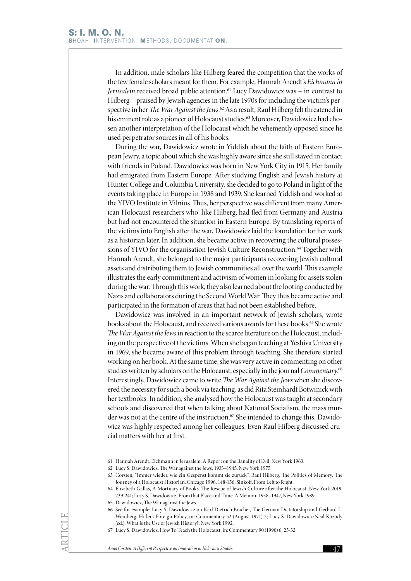In addition, male scholars like Hilberg feared the competition that the works of the few female scholars meant for them. For example, Hannah Arendt's *Eichmann in Jerusalem* received broad public attention.<sup>61</sup> Lucy Dawidowicz was - in contrast to Hilberg – praised by Jewish agencies in the late 1970s for including the victim's perspective in her *The War Against the Jews*. 62 As a result, Raul Hilberg felt threatened in his eminent role as a pioneer of Holocaust studies.<sup>63</sup> Moreover, Dawidowicz had chosen another interpretation of the Holocaust which he vehemently opposed since he used perpetrator sources in all of his books.

During the war, Dawidowicz wrote in Yiddish about the faith of Eastern European Jewry, a topic about which she was highly aware since she still stayed in contact with friends in Poland. Dawidowicz was born in New York City in 1915. Her family had emigrated from Eastern Europe. After studying English and Jewish history at Hunter College and Columbia University, she decided to go to Poland in light of the events taking place in Europe in 1938 and 1939. She learned Yiddish and worked at the YIVO Institute in Vilnius. Thus, her perspective was different from many American Holocaust researchers who, like Hilberg, had fled from Germany and Austria but had not encountered the situation in Eastern Europe. By translating reports of the victims into English after the war, Dawidowicz laid the foundation for her work as a historian later. In addition, she became active in recovering the cultural possessions of YIVO for the organisation Jewish Culture Reconstruction.<sup>64</sup> Together with Hannah Arendt, she belonged to the major participants recovering Jewish cultural assets and distributing them to Jewish communities all over the world. This example illustrates the early commitment and activism of women in looking for assets stolen during the war. Through this work, they also learned about the looting conducted by Nazis and collaborators during the Second World War. They thus became active and participated in the formation of areas that had not been established before.

Dawidowicz was involved in an important network of Jewish scholars, wrote books about the Holocaust, and received various awards for these books.<sup>65</sup> She wrote *The War Against the Jews* in reaction to the scarce literature on the Holocaust, including on the perspective of the victims. When she began teaching at Yeshiva University in 1969, she became aware of this problem through teaching. She therefore started working on her book. At the same time, she was very active in commenting on other studies written by scholars on the Holocaust, especially in the journal *Commentary*. 66 Interestingly, Dawidowicz came to write *The War Against the Jews* when she discovered the necessity for such a book via teaching, as did Rita Steinhardt Botwinick with her textbooks. In addition, she analysed how the Holocaust was taught at secondary schools and discovered that when talking about National Socialism, the mass murder was not at the centre of the instruction.<sup>67</sup> She intended to change this. Dawidowicz was highly respected among her colleagues. Even Raul Hilberg discussed crucial matters with her at first.

<sup>61</sup> Hannah Arendt, Eichmann in Jerusalem. A Report on the Banality of Evil, New York 1963.

<sup>62</sup> Lucy S. Dawidowicz, The War against the Jews, 1933–1945, New York 1975.

<sup>63</sup> Corsten, "Immer wieder, wie ein Gespenst kommt sie zurück"; Raul Hilberg, The Politics of Memory. The Journey of a Holocaust Historian, Chicago 1996, 148-156; Sinkoff, From Left to Right.

<sup>64</sup> Elisabeth Gallas, A Mortuary of Books. The Rescue of Jewish Culture after the Holocaust, New York 2019, 239-241; Lucy S. Dawidowicz, From that Place and Time. A Memoir, 1938–1947, New York 1989.

<sup>65</sup> Dawidowicz, The War against the Jews.

<sup>66</sup> See for example: Lucy S. Dawidowicz on Karl Dietrich Bracher, The German Dictatorship and Gerhard L. Weinberg, Hitler's Foreign Policy, in: Commentary 52 (August 1971) 2; Lucy S. Dawidowicz/Neal Kozody (ed.), What Is the Use of Jewish History?, New York 1992.

<sup>67</sup> Lucy S. Dawidowicz, How To Teach the Holocaust, in: Commentary 90 (1990) 6, 25-32.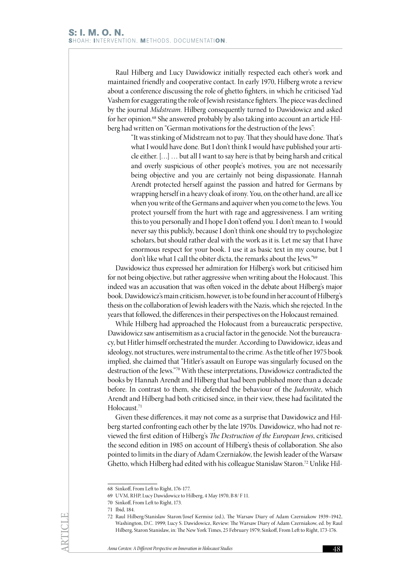Raul Hilberg and Lucy Dawidowicz initially respected each other's work and maintained friendly and cooperative contact. In early 1970, Hilberg wrote a review about a conference discussing the role of ghetto fighters, in which he criticised Yad Vashem for exaggerating the role of Jewish resistance fighters. The piece was declined by the journal *Midstream*. Hilberg consequently turned to Dawidowicz and asked for her opinion.<sup>68</sup> She answered probably by also taking into account an article Hilberg had written on "German motivations for the destruction of the Jews":

> "It was stinking of Midstream not to pay. That they should have done. That's what I would have done. But I don't think I would have published your article either. […] … but all I want to say here is that by being harsh and critical and overly suspicious of other people's motives, you are not necessarily being objective and you are certainly not being dispassionate. Hannah Arendt protected herself against the passion and hatred for Germans by wrapping herself in a heavy cloak of irony. You, on the other hand, are all ice when you write of the Germans and aquiver when you come to the Jews. You protect yourself from the hurt with rage and aggressiveness. I am writing this to you personally and I hope I don't offend you. I don't mean to. I would never say this publicly, because I don't think one should try to psychologize scholars, but should rather deal with the work as it is. Let me say that I have enormous respect for your book. I use it as basic text in my course, but I don't like what I call the obiter dicta, the remarks about the Jews."69

Dawidowicz thus expressed her admiration for Hilberg's work but criticised him for not being objective, but rather aggressive when writing about the Holocaust. This indeed was an accusation that was often voiced in the debate about Hilberg's major book. Dawidowicz's main criticism, however, is to be found in her account of Hilberg's thesis on the collaboration of Jewish leaders with the Nazis, which she rejected. In the years that followed, the differences in their perspectives on the Holocaust remained.

While Hilberg had approached the Holocaust from a bureaucratic perspective, Dawidowicz saw antisemitism as a crucial factor in the genocide. Not the bureaucracy, but Hitler himself orchestrated the murder. According to Dawidowicz, ideas and ideology, not structures, were instrumental to the crime. As the title of her 1975 book implied, she claimed that "Hitler's assault on Europe was singularly focused on the destruction of the Jews."70 With these interpretations, Dawidowicz contradicted the books by Hannah Arendt and Hilberg that had been published more than a decade before. In contrast to them, she defended the behaviour of the *Judenräte*, which Arendt and Hilberg had both criticised since, in their view, these had facilitated the Holocaust.71

Given these differences, it may not come as a surprise that Dawidowicz and Hilberg started confronting each other by the late 1970s. Dawidowicz, who had not reviewed the first edition of Hilberg's *The Destruction of the European Jews*, criticised the second edition in 1985 on account of Hilberg's thesis of collaboration. She also pointed to limits in the diary of Adam Czerniaków, the Jewish leader of the Warsaw Ghetto, which Hilberg had edited with his colleague Stanislaw Staron.72 Unlike Hil-

<sup>68</sup> Sinkoff, From Left to Right, 176-177.

<sup>69</sup> UVM, RHP, Lucy Dawidowicz to Hilberg, 4 May 1970, B 8/ F 11.

<sup>70</sup> Sinkoff, From Left to Right, 173.

<sup>71</sup> Ibid, 184.

<sup>72</sup> Raul Hilberg/Stanislaw Staron/Josef Kermisz (ed.), The Warsaw Diary of Adam Czerniakow 1939–1942, Washington, D.C. 1999; Lucy S. Dawidowicz, Review: The Warsaw Diary of Adam Czerniakow, ed. by Raul Hilberg, Staron Stanislaw, in: The New York Times, 25 February 1979; Sinkoff, From Left to Right, 173-176.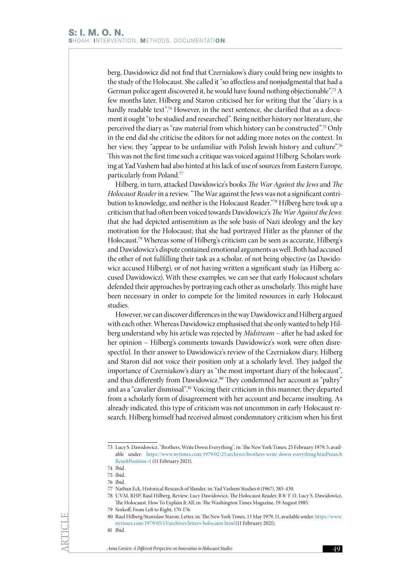berg, Dawidowicz did not find that Czerniakow's diary could bring new insights to the study of the Holocaust. She called it "so affectless and nonjudgmental that had a German police agent discovered it, he would have found nothing objectionable".73 A few months later, Hilberg and Staron criticised her for writing that the "diary is a hardly readable text".<sup>74</sup> However, in the next sentence, she clarified that as a document it ought "to be studied and researched". Being neither history nor literature, she perceived the diary as "raw material from which history can be constructed".75 Only in the end did she criticise the editors for not adding more notes on the context. In her view, they "appear to be unfamiliar with Polish Jewish history and culture".<sup>76</sup> This was not the first time such a critique was voiced against Hilberg. Scholars working at Yad Vashem had also hinted at his lack of use of sources from Eastern Europe, particularly from Poland.77

Hilberg, in turn, attacked Dawidowicz's books *The War Against the Jews* and *The Holocaust Reader* in a review. "The War against the Jews was not a significant contribution to knowledge, and neither is the Holocaust Reader."78 Hilberg here took up a criticism that had often been voiced towards Dawidowicz's *The War Against the Jews*: that she had depicted antisemitism as the sole basis of Nazi ideology and the key motivation for the Holocaust; that she had portrayed Hitler as the planner of the Holocaust.79 Whereas some of Hilberg's criticism can be seen as accurate, Hilberg's and Dawidowicz's dispute contained emotional arguments as well. Both had accused the other of not fulfilling their task as a scholar, of not being objective (as Dawidowicz accused Hilberg), or of not having written a significant study (as Hilberg accused Dawidowicz). With these examples, we can see that early Holocaust scholars defended their approaches by portraying each other as unscholarly. This might have been necessary in order to compete for the limited resources in early Holocaust studies.

However, we can discover differences in the way Dawidowicz and Hilberg argued with each other. Whereas Dawidowicz emphasised that she only wanted to help Hilberg understand why his article was rejected by *Midstream* – after he had asked for her opinion – Hilberg's comments towards Dawidowicz's work were often disrespectful. In their answer to Dawidowicz's review of the Czerniakow diary, Hilberg and Staron did not voice their position only at a scholarly level. They judged the importance of Czerniakow's diary as "the most important diary of the holocaust", and thus differently from Dawidowicz.<sup>80</sup> They condemned her account as "paltry" and as a "cavalier dismissal".81 Voicing their criticism in this manner, they departed from a scholarly form of disagreement with her account and became insulting. As already indicated, this type of criticism was not uncommon in early Holocaust research. Hilberg himself had received almost condemnatory criticism when his first

<sup>73</sup> Lucy S. Dawidowicz, "Brothers, Write Down Everything", in: The New York Times, 25 February 1979, 5, available under: [https://www.nytimes.com/1979/02/25/archives/brothers-write-down-everything.html?search](https://www.nytimes.com/1979/02/25/archives/brothers-write-down-everything.html?searchResultPosition) [ResultPosition=1](https://www.nytimes.com/1979/02/25/archives/brothers-write-down-everything.html?searchResultPosition) (11 February 2021).

<sup>74</sup> Ibid.

<sup>75</sup> Ibid.

<sup>76</sup> Ibid.

<sup>77</sup> Nathan Eck, Historical Research of Slander, in: Yad Vashem Studies 6 (1967), 385-430.

<sup>78</sup> UVM, RHP, Raul Hilberg, Review: Lucy Dawidowicz, The Holocaust Reader, B 8/ F 11; Lucy S. Dawidowicz, The Holocaust. How To Explain It All, in: The Washington Times Magazine, 19 August 1985.

<sup>79</sup> Sinkoff, From Left to Right, 170-176.

<sup>80</sup> Raul Hilberg/Stanislaw Staron, Letter, in: The New York Times, 13 May 1979, 11, available under: [https://www.](https://www.nytimes.com/1979/05/13/archives/letters-holocaust.html) [nytimes.com/1979/05/13/archives/letters-holocaust.html](https://www.nytimes.com/1979/05/13/archives/letters-holocaust.html) (11 February 2021).

<sup>81</sup> Ibid.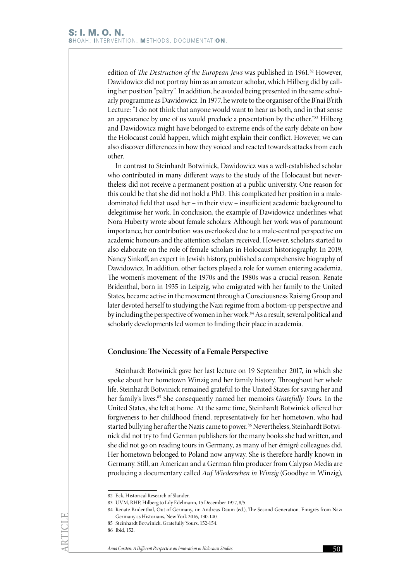edition of *The Destruction of the European Jews* was published in 1961.<sup>82</sup> However, Dawidowicz did not portray him as an amateur scholar, which Hilberg did by calling her position "paltry". In addition, he avoided being presented in the same scholarly programme as Dawidowicz. In 1977, he wrote to the organiser of the B'nai B'rith Lecture: "I do not think that anyone would want to hear us both, and in that sense an appearance by one of us would preclude a presentation by the other."83 Hilberg and Dawidowicz might have belonged to extreme ends of the early debate on how the Holocaust could happen, which might explain their conflict. However, we can also discover differences in how they voiced and reacted towards attacks from each other.

In contrast to Steinhardt Botwinick, Dawidowicz was a well-established scholar who contributed in many different ways to the study of the Holocaust but nevertheless did not receive a permanent position at a public university. One reason for this could be that she did not hold a PhD. This complicated her position in a maledominated field that used her – in their view – insufficient academic background to delegitimise her work. In conclusion, the example of Dawidowicz underlines what Nora Huberty wrote about female scholars: Although her work was of paramount importance, her contribution was overlooked due to a male-centred perspective on academic honours and the attention scholars received. However, scholars started to also elaborate on the role of female scholars in Holocaust historiography. In 2019, Nancy Sinkoff, an expert in Jewish history, published a comprehensive biography of Dawidowicz. In addition, other factors played a role for women entering academia. The women's movement of the 1970s and the 1980s was a crucial reason. Renate Bridenthal, born in 1935 in Leipzig, who emigrated with her family to the United States, became active in the movement through a Consciousness Raising Group and later devoted herself to studying the Nazi regime from a bottom-up perspective and by including the perspective of women in her work.<sup>84</sup> As a result, several political and scholarly developments led women to finding their place in academia.

### **Conclusion: The Necessity of a Female Perspective**

Steinhardt Botwinick gave her last lecture on 19 September 2017, in which she spoke about her hometown Winzig and her family history. Throughout her whole life, Steinhardt Botwinick remained grateful to the United States for saving her and her family's lives.85 She consequently named her memoirs *Gratefully Yours*. In the United States, she felt at home. At the same time, Steinhardt Botwinick offered her forgiveness to her childhood friend, representatively for her hometown, who had started bullying her after the Nazis came to power.<sup>86</sup> Nevertheless, Steinhardt Botwinick did not try to find German publishers for the many books she had written, and she did not go on reading tours in Germany, as many of her émigré colleagues did. Her hometown belonged to Poland now anyway. She is therefore hardly known in Germany. Still, an American and a German film producer from Calypso Media are producing a documentary called *Auf Wiedersehen in Winzig* (Goodbye in Winzig),

<sup>82</sup> Eck, Historical Research of Slander.

<sup>83</sup> UVM, RHP, Hilberg to Lily Edelmann, 15 December 1977, 8/5.

<sup>84</sup> Renate Bridenthal, Out of Germany, in: Andreas Daum (ed.), The Second Generation. Émigrés from Nazi Germany as Historians, New York 2016, 130-140.

<sup>85</sup> Steinhardt Botwinick, Gratefully Yours, 152-154.

<sup>86</sup> Ibid, 152.